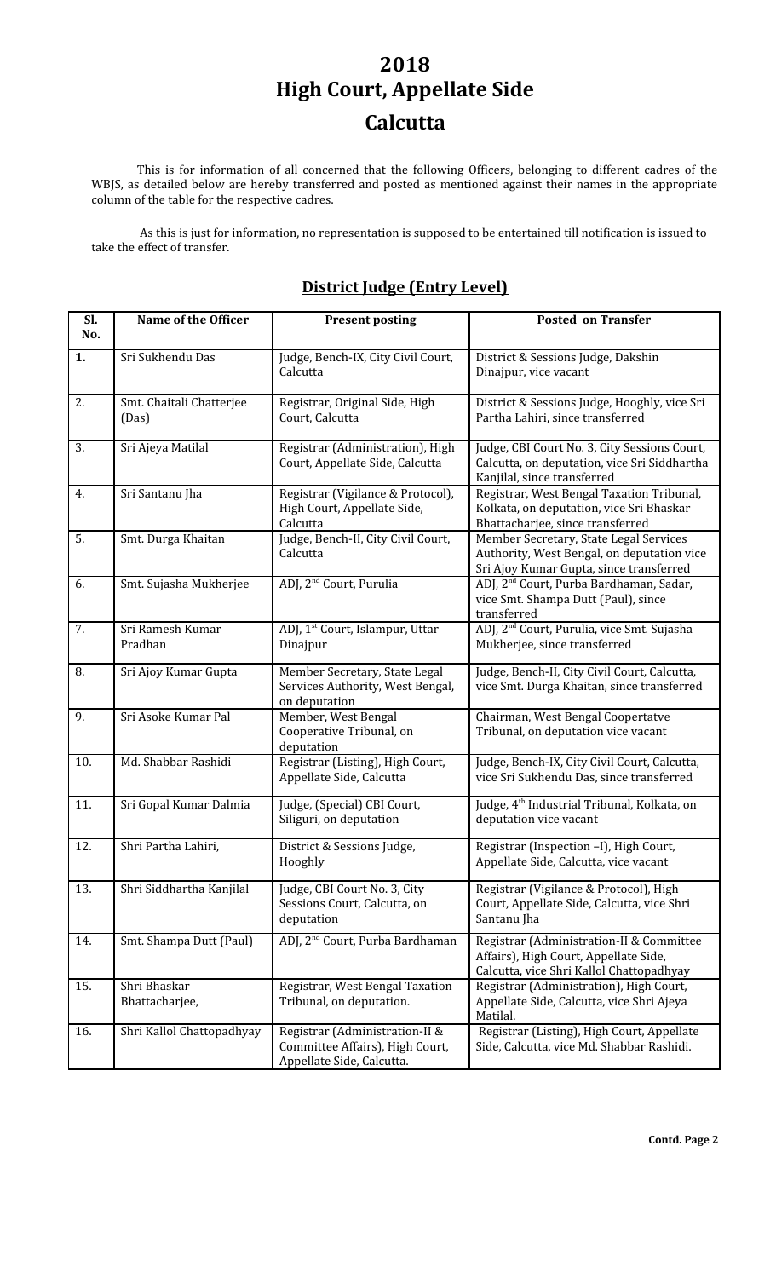## **2018 High Court, Appellate Side Calcutta**

This is for information of all concerned that the following Officers, belonging to different cadres of the WBJS, as detailed below are hereby transferred and posted as mentioned against their names in the appropriate column of the table for the respective cadres.

As this is just for information, no representation is supposed to be entertained till notification is issued to take the effect of transfer.

## **District Judge (Entry Level)**

| Sl.<br>No. | Name of the Officer               | <b>Present posting</b>                                                                         | <b>Posted on Transfer</b>                                                                                                       |
|------------|-----------------------------------|------------------------------------------------------------------------------------------------|---------------------------------------------------------------------------------------------------------------------------------|
| 1.         | Sri Sukhendu Das                  | Judge, Bench-IX, City Civil Court,<br>Calcutta                                                 | District & Sessions Judge, Dakshin<br>Dinajpur, vice vacant                                                                     |
| 2.         | Smt. Chaitali Chatterjee<br>(Das) | Registrar, Original Side, High<br>Court, Calcutta                                              | District & Sessions Judge, Hooghly, vice Sri<br>Partha Lahiri, since transferred                                                |
| 3.         | Sri Ajeya Matilal                 | Registrar (Administration), High<br>Court, Appellate Side, Calcutta                            | Judge, CBI Court No. 3, City Sessions Court,<br>Calcutta, on deputation, vice Sri Siddhartha<br>Kanjilal, since transferred     |
| 4.         | Sri Santanu Jha                   | Registrar (Vigilance & Protocol),<br>High Court, Appellate Side,<br>Calcutta                   | Registrar, West Bengal Taxation Tribunal,<br>Kolkata, on deputation, vice Sri Bhaskar<br>Bhattacharjee, since transferred       |
| 5.         | Smt. Durga Khaitan                | Judge, Bench-II, City Civil Court,<br>Calcutta                                                 | Member Secretary, State Legal Services<br>Authority, West Bengal, on deputation vice<br>Sri Ajoy Kumar Gupta, since transferred |
| 6.         | Smt. Sujasha Mukherjee            | ADJ, 2 <sup>nd</sup> Court, Purulia                                                            | ADJ, 2 <sup>nd</sup> Court, Purba Bardhaman, Sadar,<br>vice Smt. Shampa Dutt (Paul), since<br>transferred                       |
| 7.         | Sri Ramesh Kumar<br>Pradhan       | ADJ, 1 <sup>st</sup> Court, Islampur, Uttar<br>Dinajpur                                        | ADJ, 2 <sup>nd</sup> Court, Purulia, vice Smt. Sujasha<br>Mukherjee, since transferred                                          |
| 8.         | Sri Ajoy Kumar Gupta              | Member Secretary, State Legal<br>Services Authority, West Bengal,<br>on deputation             | Judge, Bench-II, City Civil Court, Calcutta,<br>vice Smt. Durga Khaitan, since transferred                                      |
| 9.         | Sri Asoke Kumar Pal               | Member, West Bengal<br>Cooperative Tribunal, on<br>deputation                                  | Chairman, West Bengal Coopertatve<br>Tribunal, on deputation vice vacant                                                        |
| 10.        | Md. Shabbar Rashidi               | Registrar (Listing), High Court,<br>Appellate Side, Calcutta                                   | Judge, Bench-IX, City Civil Court, Calcutta,<br>vice Sri Sukhendu Das, since transferred                                        |
| 11.        | Sri Gopal Kumar Dalmia            | Judge, (Special) CBI Court,<br>Siliguri, on deputation                                         | Judge, 4 <sup>th</sup> Industrial Tribunal, Kolkata, on<br>deputation vice vacant                                               |
| 12.        | Shri Partha Lahiri,               | District & Sessions Judge,<br>Hooghly                                                          | Registrar (Inspection -I), High Court,<br>Appellate Side, Calcutta, vice vacant                                                 |
| 13.        | Shri Siddhartha Kanjilal          | Judge, CBI Court No. 3, City<br>Sessions Court, Calcutta, on<br>deputation                     | Registrar (Vigilance & Protocol), High<br>Court, Appellate Side, Calcutta, vice Shri<br>Santanu Jha                             |
| 14.        | Smt. Shampa Dutt (Paul)           | ADJ, 2 <sup>nd</sup> Court, Purba Bardhaman                                                    | Registrar (Administration-II & Committee<br>Affairs), High Court, Appellate Side,<br>Calcutta, vice Shri Kallol Chattopadhyay   |
| 15.        | Shri Bhaskar<br>Bhattacharjee,    | Registrar, West Bengal Taxation<br>Tribunal, on deputation.                                    | Registrar (Administration), High Court,<br>Appellate Side, Calcutta, vice Shri Ajeya<br>Matilal.                                |
| 16.        | Shri Kallol Chattopadhyay         | Registrar (Administration-II &<br>Committee Affairs), High Court,<br>Appellate Side, Calcutta. | Registrar (Listing), High Court, Appellate<br>Side, Calcutta, vice Md. Shabbar Rashidi.                                         |